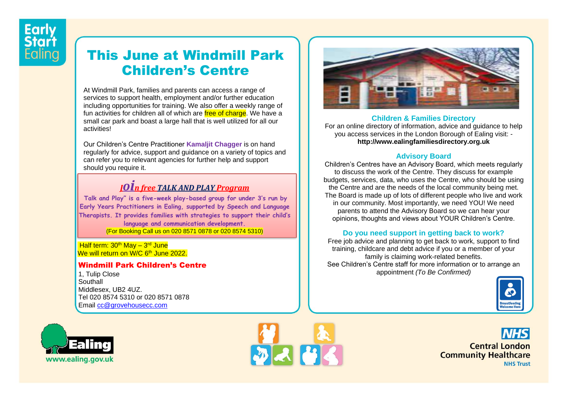# This June at Windmill Park Children's Centre

At Windmill Park, families and parents can access a range of services to support health, employment and/or further education including opportunities for training. We also offer a weekly range of fun activities for children all of which are free of charge. We have a small car park and boast a large hall that is well utilized for all our activities!

Our Children's Centre Practitioner **Kamaljit Chagger** is on hand regularly for advice, support and guidance on a variety of topics and can refer you to relevant agencies for further help and support should you require it.

## *<sup>J</sup>oin free TALK AND PLAY Program*

**Talk and Play" is a five-week play-based group for under 3's run by Early Years Practitioners in Ealing, supported by Speech and Language Therapists. It provides families with strategies to support their child's language and communication development.** (For Booking Call us on 020 8571 0878 or 020 8574 5310)

<mark>Half term: 30<sup>th</sup> May – 3<sup>rd</sup> June</mark> We will return on W/C 6<sup>th</sup> June 2022.

#### Windmill Park Children's Centre

1, Tulip Close **Southall** Middlesex, UB2 4UZ. Tel 020 8574 5310 or 020 8571 0878 Email [cc@grovehousecc.com](mailto:cc@grovehousecc.com)







#### **Children & Families Directory**

For an online directory of information, advice and guidance to help you access services in the London Borough of Ealing visit: **http://www.ealingfamiliesdirectory.org.uk**

## **Advisory Board**

Children's Centres have an Advisory Board, which meets regularly to discuss the work of the Centre. They discuss for example budgets, services, data, who uses the Centre, who should be using the Centre and are the needs of the local community being met. The Board is made up of lots of different people who live and work in our community. Most importantly, we need YOU! We need parents to attend the Advisory Board so we can hear your opinions, thoughts and views about YOUR Children's Centre.

#### **Do you need support in getting back to work?**

Free job advice and planning to get back to work, support to find training, childcare and debt advice if you or a member of your family is claiming work-related benefits. See Children's Centre staff for more information or to arrange an appointment *(To Be Confirmed)*



**Central London Community Healthcare NHS Trust**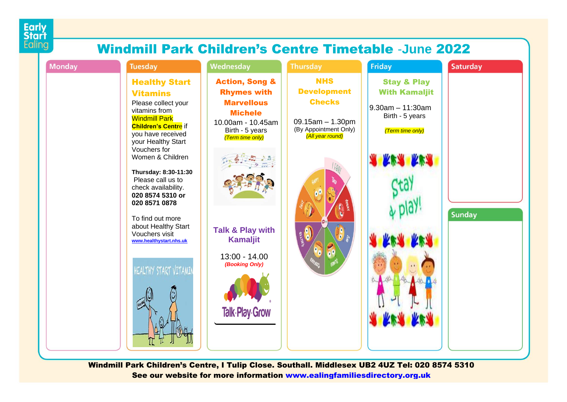

# Windmill Park Children's Centre Timetable -**June** 2022



Windmill Park Children's Centre, I Tulip Close. Southall. Middlesex UB2 4UZ Tel: 020 8574 5310 See our website for more information [www.ealingfamiliesdirectory.org.uk](http://www.ealingfamiliesdirectory.org.uk/)